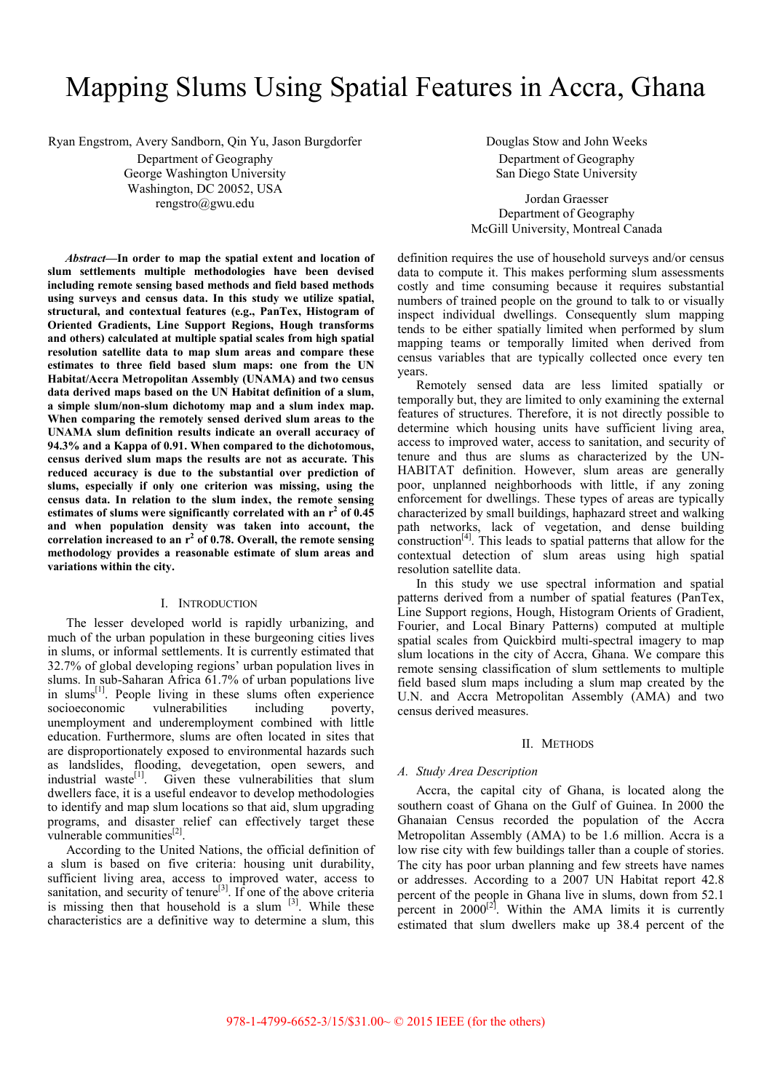# Mapping Slums Using Spatial Features in Accra, Ghana

Ryan Engstrom, Avery Sandborn, Qin Yu, Jason Burgdorfer

Department of Geography George Washington University Washington, DC 20052, USA rengstro@gwu.edu

*Abstract***—In order to map the spatial extent and location of slum settlements multiple methodologies have been devised including remote sensing based methods and field based methods using surveys and census data. In this study we utilize spatial, structural, and contextual features (e.g., PanTex, Histogram of Oriented Gradients, Line Support Regions, Hough transforms and others) calculated at multiple spatial scales from high spatial resolution satellite data to map slum areas and compare these estimates to three field based slum maps: one from the UN Habitat/Accra Metropolitan Assembly (UNAMA) and two census data derived maps based on the UN Habitat definition of a slum, a simple slum/non-slum dichotomy map and a slum index map. When comparing the remotely sensed derived slum areas to the UNAMA slum definition results indicate an overall accuracy of 94.3% and a Kappa of 0.91. When compared to the dichotomous, census derived slum maps the results are not as accurate. This reduced accuracy is due to the substantial over prediction of slums, especially if only one criterion was missing, using the census data. In relation to the slum index, the remote sensing**  estimates of slums were significantly correlated with an r<sup>2</sup> of 0.45 **and when population density was taken into account, the**  correlation increased to an r<sup>2</sup> of 0.78. Overall, the remote sensing **methodology provides a reasonable estimate of slum areas and variations within the city.** 

#### I. INTRODUCTION

The lesser developed world is rapidly urbanizing, and much of the urban population in these burgeoning cities lives in slums, or informal settlements. It is currently estimated that 32.7% of global developing regions' urban population lives in slums. In sub-Saharan Africa 61.7% of urban populations live in slums $^{[1]}$ . People living in these slums often experience socioeconomic vulnerabilities including poverty, unemployment and underemployment combined with little education. Furthermore, slums are often located in sites that are disproportionately exposed to environmental hazards such as landslides, flooding, devegetation, open sewers, and industrial waste<sup>[1]</sup>. Given these vulnerabilities that slum dwellers face, it is a useful endeavor to develop methodologies to identify and map slum locations so that aid, slum upgrading programs, and disaster relief can effectively target these vulnerable communities<sup>[2]</sup>.

According to the United Nations, the official definition of a slum is based on five criteria: housing unit durability, sufficient living area, access to improved water, access to sanitation, and security of tenure<sup>[3]</sup>. If one of the above criteria is missing then that household is a slum  $[3]$ . While these characteristics are a definitive way to determine a slum, this

Douglas Stow and John Weeks Department of Geography San Diego State University

Jordan Graesser Department of Geography McGill University, Montreal Canada

definition requires the use of household surveys and/or census data to compute it. This makes performing slum assessments costly and time consuming because it requires substantial numbers of trained people on the ground to talk to or visually inspect individual dwellings. Consequently slum mapping tends to be either spatially limited when performed by slum mapping teams or temporally limited when derived from census variables that are typically collected once every ten years.

Remotely sensed data are less limited spatially or temporally but, they are limited to only examining the external features of structures. Therefore, it is not directly possible to determine which housing units have sufficient living area, access to improved water, access to sanitation, and security of tenure and thus are slums as characterized by the UN-HABITAT definition. However, slum areas are generally poor, unplanned neighborhoods with little, if any zoning enforcement for dwellings. These types of areas are typically characterized by small buildings, haphazard street and walking path networks, lack of vegetation, and dense building construction[4]. This leads to spatial patterns that allow for the contextual detection of slum areas using high spatial resolution satellite data.

In this study we use spectral information and spatial patterns derived from a number of spatial features (PanTex, Line Support regions, Hough, Histogram Orients of Gradient, Fourier, and Local Binary Patterns) computed at multiple spatial scales from Quickbird multi-spectral imagery to map slum locations in the city of Accra, Ghana. We compare this remote sensing classification of slum settlements to multiple field based slum maps including a slum map created by the U.N. and Accra Metropolitan Assembly (AMA) and two census derived measures.

### II. METHODS

### *A. Study Area Description*

Accra, the capital city of Ghana, is located along the southern coast of Ghana on the Gulf of Guinea. In 2000 the Ghanaian Census recorded the population of the Accra Metropolitan Assembly (AMA) to be 1.6 million. Accra is a low rise city with few buildings taller than a couple of stories. The city has poor urban planning and few streets have names or addresses. According to a 2007 UN Habitat report 42.8 percent of the people in Ghana live in slums, down from 52.1 percent in  $2000^{[2]}$ . Within the AMA limits it is currently estimated that slum dwellers make up 38.4 percent of the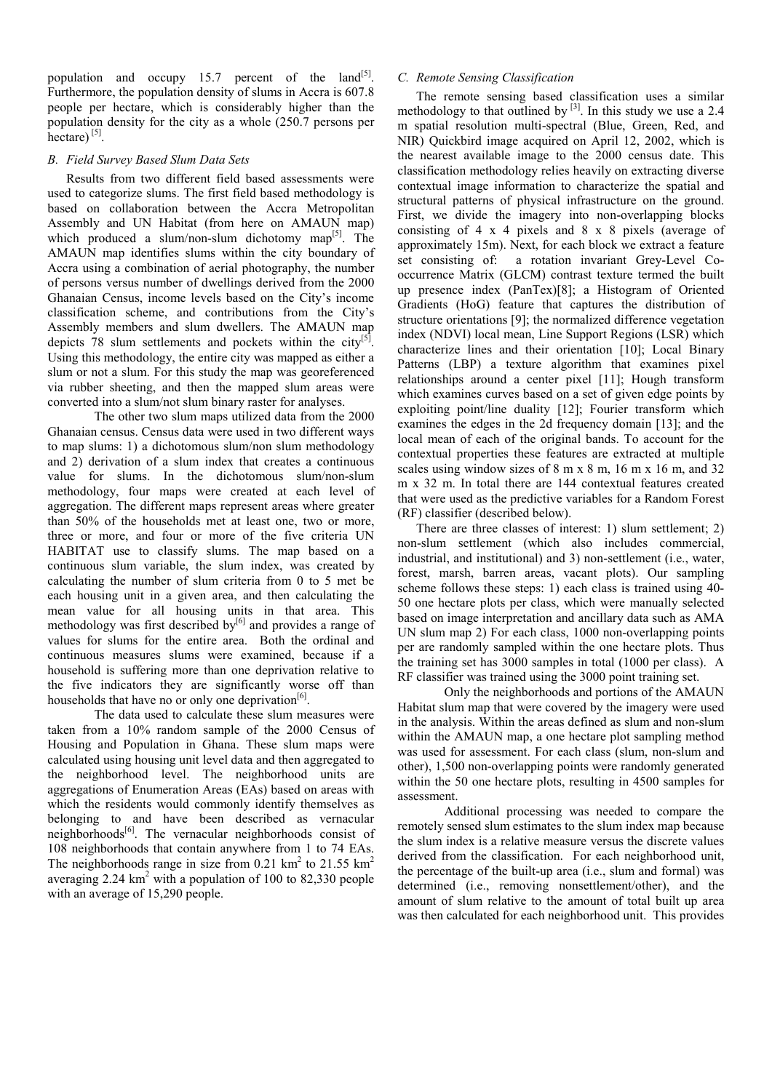population and occupy 15.7 percent of the land<sup>[5]</sup>. Furthermore, the population density of slums in Accra is 607.8 people per hectare, which is considerably higher than the population density for the city as a whole (250.7 persons per  $hectare$ <sup>[5]</sup>.

## *B. Field Survey Based Slum Data Sets*

Results from two different field based assessments were used to categorize slums. The first field based methodology is based on collaboration between the Accra Metropolitan Assembly and UN Habitat (from here on AMAUN map) which produced a slum/non-slum dichotomy map<sup>[5]</sup>. The AMAUN map identifies slums within the city boundary of Accra using a combination of aerial photography, the number of persons versus number of dwellings derived from the 2000 Ghanaian Census, income levels based on the City's income classification scheme, and contributions from the City's Assembly members and slum dwellers. The AMAUN map depicts 78 slum settlements and pockets within the city<sup>[5]</sup>. Using this methodology, the entire city was mapped as either a slum or not a slum. For this study the map was georeferenced via rubber sheeting, and then the mapped slum areas were converted into a slum/not slum binary raster for analyses.

The other two slum maps utilized data from the 2000 Ghanaian census. Census data were used in two different ways to map slums: 1) a dichotomous slum/non slum methodology and 2) derivation of a slum index that creates a continuous value for slums. In the dichotomous slum/non-slum methodology, four maps were created at each level of aggregation. The different maps represent areas where greater than 50% of the households met at least one, two or more, three or more, and four or more of the five criteria UN HABITAT use to classify slums. The map based on a continuous slum variable, the slum index, was created by calculating the number of slum criteria from 0 to 5 met be each housing unit in a given area, and then calculating the mean value for all housing units in that area. This methodology was first described by $[6]$  and provides a range of values for slums for the entire area. Both the ordinal and continuous measures slums were examined, because if a household is suffering more than one deprivation relative to the five indicators they are significantly worse off than households that have no or only one deprivation<sup>[6]</sup>.

The data used to calculate these slum measures were taken from a 10% random sample of the 2000 Census of Housing and Population in Ghana. These slum maps were calculated using housing unit level data and then aggregated to the neighborhood level. The neighborhood units are aggregations of Enumeration Areas (EAs) based on areas with which the residents would commonly identify themselves as belonging to and have been described as vernacular neighborhoods<sup>[6]</sup>. The vernacular neighborhoods consist of 108 neighborhoods that contain anywhere from 1 to 74 EAs. The neighborhoods range in size from 0.21  $\text{km}^2$  to 21.55  $\text{km}^2$ averaging  $2.24 \text{ km}^2$  with a population of 100 to 82,330 people with an average of 15,290 people.

# *C. Remote Sensing Classification*

The remote sensing based classification uses a similar methodology to that outlined by  $[3]$ . In this study we use a 2.4 m spatial resolution multi-spectral (Blue, Green, Red, and NIR) Quickbird image acquired on April 12, 2002, which is the nearest available image to the 2000 census date. This classification methodology relies heavily on extracting diverse contextual image information to characterize the spatial and structural patterns of physical infrastructure on the ground. First, we divide the imagery into non-overlapping blocks consisting of 4 x 4 pixels and 8 x 8 pixels (average of approximately 15m). Next, for each block we extract a feature set consisting of: a rotation invariant Grey-Level Cooccurrence Matrix (GLCM) contrast texture termed the built up presence index (PanTex)[8]; a Histogram of Oriented Gradients (HoG) feature that captures the distribution of structure orientations [9]; the normalized difference vegetation index (NDVI) local mean, Line Support Regions (LSR) which characterize lines and their orientation [10]; Local Binary Patterns (LBP) a texture algorithm that examines pixel relationships around a center pixel [11]; Hough transform which examines curves based on a set of given edge points by exploiting point/line duality [12]; Fourier transform which examines the edges in the 2d frequency domain [13]; and the local mean of each of the original bands. To account for the contextual properties these features are extracted at multiple scales using window sizes of 8 m x 8 m, 16 m x 16 m, and 32 m x 32 m. In total there are 144 contextual features created that were used as the predictive variables for a Random Forest (RF) classifier (described below).

There are three classes of interest: 1) slum settlement; 2) non-slum settlement (which also includes commercial, industrial, and institutional) and 3) non-settlement (i.e., water, forest, marsh, barren areas, vacant plots). Our sampling scheme follows these steps: 1) each class is trained using 40- 50 one hectare plots per class, which were manually selected based on image interpretation and ancillary data such as AMA UN slum map 2) For each class, 1000 non-overlapping points per are randomly sampled within the one hectare plots. Thus the training set has 3000 samples in total (1000 per class). A RF classifier was trained using the 3000 point training set.

Only the neighborhoods and portions of the AMAUN Habitat slum map that were covered by the imagery were used in the analysis. Within the areas defined as slum and non-slum within the AMAUN map, a one hectare plot sampling method was used for assessment. For each class (slum, non-slum and other), 1,500 non-overlapping points were randomly generated within the 50 one hectare plots, resulting in 4500 samples for assessment.

Additional processing was needed to compare the remotely sensed slum estimates to the slum index map because the slum index is a relative measure versus the discrete values derived from the classification. For each neighborhood unit, the percentage of the built-up area (i.e., slum and formal) was determined (i.e., removing nonsettlement/other), and the amount of slum relative to the amount of total built up area was then calculated for each neighborhood unit. This provides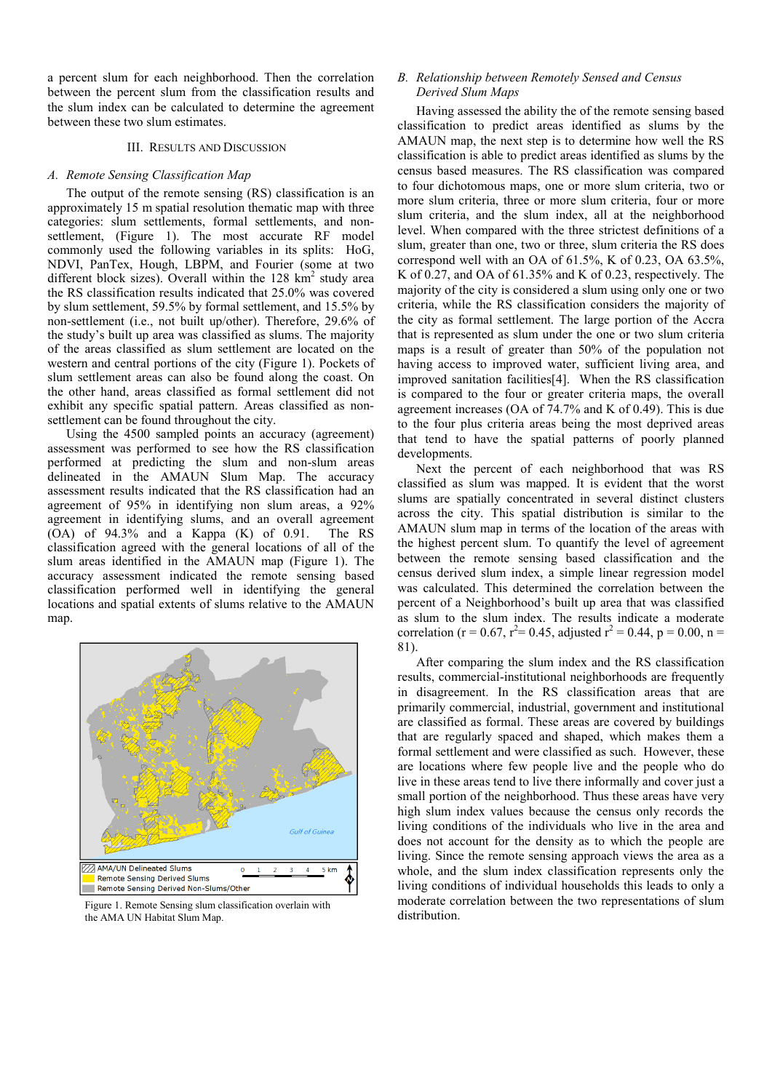a percent slum for each neighborhood. Then the correlation between the percent slum from the classification results and the slum index can be calculated to determine the agreement between these two slum estimates.

## III. RESULTS AND DISCUSSION

## *A. Remote Sensing Classification Map*

The output of the remote sensing (RS) classification is an approximately 15 m spatial resolution thematic map with three categories: slum settlements, formal settlements, and nonsettlement. (Figure 1). The most accurate RF model commonly used the following variables in its splits: HoG, NDVI, PanTex, Hough, LBPM, and Fourier (some at two different block sizes). Overall within the  $128 \text{ km}^2$  study area the RS classification results indicated that 25.0% was covered by slum settlement, 59.5% by formal settlement, and 15.5% by non-settlement (i.e., not built up/other). Therefore, 29.6% of the study's built up area was classified as slums. The majority of the areas classified as slum settlement are located on the western and central portions of the city (Figure 1). Pockets of slum settlement areas can also be found along the coast. On the other hand, areas classified as formal settlement did not exhibit any specific spatial pattern. Areas classified as nonsettlement can be found throughout the city.

Using the 4500 sampled points an accuracy (agreement) assessment was performed to see how the RS classification performed at predicting the slum and non-slum areas delineated in the AMAUN Slum Map. The accuracy assessment results indicated that the RS classification had an agreement of 95% in identifying non slum areas, a 92% agreement in identifying slums, and an overall agreement (OA) of 94.3% and a Kappa (K) of 0.91. The RS classification agreed with the general locations of all of the slum areas identified in the AMAUN map (Figure 1). The accuracy assessment indicated the remote sensing based classification performed well in identifying the general locations and spatial extents of slums relative to the AMAUN map.



Figure 1. Remote Sensing slum classification overlain with the AMA UN Habitat Slum Map.

## *B. Relationship between Remotely Sensed and Census Derived Slum Maps*

Having assessed the ability the of the remote sensing based classification to predict areas identified as slums by the AMAUN map, the next step is to determine how well the RS classification is able to predict areas identified as slums by the census based measures. The RS classification was compared to four dichotomous maps, one or more slum criteria, two or more slum criteria, three or more slum criteria, four or more slum criteria, and the slum index, all at the neighborhood level. When compared with the three strictest definitions of a slum, greater than one, two or three, slum criteria the RS does correspond well with an OA of 61.5%, K of 0.23, OA 63.5%, K of 0.27, and OA of 61.35% and K of 0.23, respectively. The majority of the city is considered a slum using only one or two criteria, while the RS classification considers the majority of the city as formal settlement. The large portion of the Accra that is represented as slum under the one or two slum criteria maps is a result of greater than 50% of the population not having access to improved water, sufficient living area, and improved sanitation facilities[4]. When the RS classification is compared to the four or greater criteria maps, the overall agreement increases (OA of 74.7% and K of 0.49). This is due to the four plus criteria areas being the most deprived areas that tend to have the spatial patterns of poorly planned developments.

Next the percent of each neighborhood that was RS classified as slum was mapped. It is evident that the worst slums are spatially concentrated in several distinct clusters across the city. This spatial distribution is similar to the AMAUN slum map in terms of the location of the areas with the highest percent slum. To quantify the level of agreement between the remote sensing based classification and the census derived slum index, a simple linear regression model was calculated. This determined the correlation between the percent of a Neighborhood's built up area that was classified as slum to the slum index. The results indicate a moderate correlation (r = 0.67, r<sup>2</sup>= 0.45, adjusted r<sup>2</sup> = 0.44, p = 0.00, n = 81).

After comparing the slum index and the RS classification results, commercial-institutional neighborhoods are frequently in disagreement. In the RS classification areas that are primarily commercial, industrial, government and institutional are classified as formal. These areas are covered by buildings that are regularly spaced and shaped, which makes them a formal settlement and were classified as such. However, these are locations where few people live and the people who do live in these areas tend to live there informally and cover just a small portion of the neighborhood. Thus these areas have very high slum index values because the census only records the living conditions of the individuals who live in the area and does not account for the density as to which the people are living. Since the remote sensing approach views the area as a whole, and the slum index classification represents only the living conditions of individual households this leads to only a moderate correlation between the two representations of slum distribution.